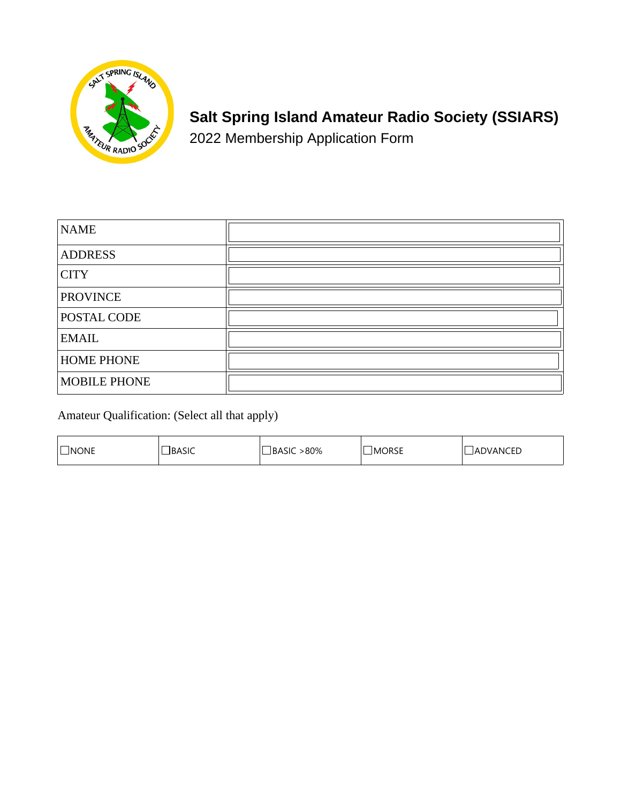

# **Salt Spring Island Amateur Radio Society (SSIARS)**

2022 Membership Application Form

| <b>NAME</b>         |  |
|---------------------|--|
| <b>ADDRESS</b>      |  |
| <b>CITY</b>         |  |
| <b>PROVINCE</b>     |  |
| POSTAL CODE         |  |
| <b>EMAIL</b>        |  |
| <b>HOME PHONE</b>   |  |
| <b>MOBILE PHONE</b> |  |

Amateur Qualification: (Select all that apply)

| <b>NONE</b><br>_____ | BA<br>ASIL<br>__ | .80%<br>\10 | <b>RSI</b><br>IM(<br>שטחשו<br>____ | $-$<br>. IN I<br>◡∟ |
|----------------------|------------------|-------------|------------------------------------|---------------------|
|----------------------|------------------|-------------|------------------------------------|---------------------|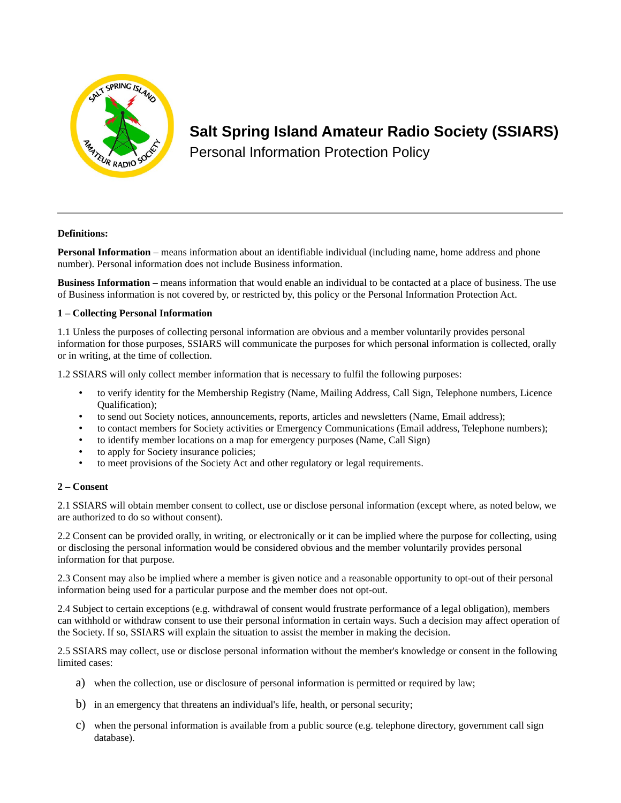

# **Salt Spring Island Amateur Radio Society (SSIARS)**

Personal Information Protection Policy

# **Definitions:**

**Personal Information** – means information about an identifiable individual (including name, home address and phone number). Personal information does not include Business information.

**Business Information** – means information that would enable an individual to be contacted at a place of business. The use of Business information is not covered by, or restricted by, this policy or the Personal Information Protection Act.

# **1 – Collecting Personal Information**

1.1 Unless the purposes of collecting personal information are obvious and a member voluntarily provides personal information for those purposes, SSIARS will communicate the purposes for which personal information is collected, orally or in writing, at the time of collection.

1.2 SSIARS will only collect member information that is necessary to fulfil the following purposes:

- to verify identity for the Membership Registry (Name, Mailing Address, Call Sign, Telephone numbers, Licence Qualification);
- to send out Society notices, announcements, reports, articles and newsletters (Name, Email address);
- to contact members for Society activities or Emergency Communications (Email address, Telephone numbers);
- to identify member locations on a map for emergency purposes (Name, Call Sign)
- to apply for Society insurance policies;
- to meet provisions of the Society Act and other regulatory or legal requirements.

#### **2 – Consent**

2.1 SSIARS will obtain member consent to collect, use or disclose personal information (except where, as noted below, we are authorized to do so without consent).

2.2 Consent can be provided orally, in writing, or electronically or it can be implied where the purpose for collecting, using or disclosing the personal information would be considered obvious and the member voluntarily provides personal information for that purpose.

2.3 Consent may also be implied where a member is given notice and a reasonable opportunity to opt-out of their personal information being used for a particular purpose and the member does not opt-out.

2.4 Subject to certain exceptions (e.g. withdrawal of consent would frustrate performance of a legal obligation), members can withhold or withdraw consent to use their personal information in certain ways. Such a decision may affect operation of the Society. If so, SSIARS will explain the situation to assist the member in making the decision.

2.5 SSIARS may collect, use or disclose personal information without the member's knowledge or consent in the following limited cases:

- a) when the collection, use or disclosure of personal information is permitted or required by law;
- b) in an emergency that threatens an individual's life, health, or personal security;
- c) when the personal information is available from a public source (e.g. telephone directory, government call sign database).